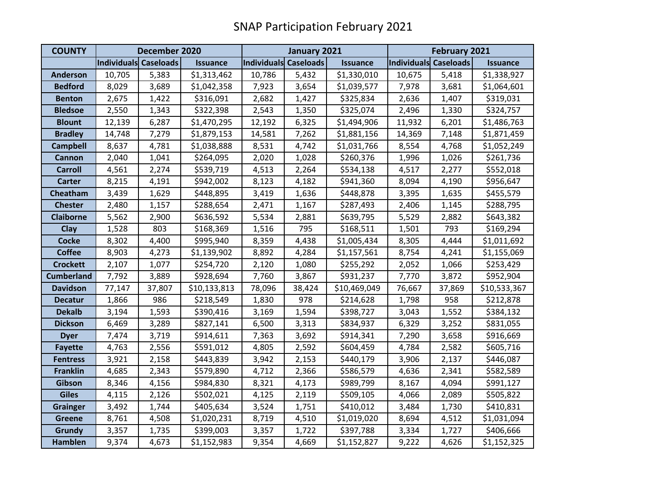| <b>COUNTY</b>     | December 2020         |        |                 | January 2021          |        |                 | February 2021         |        |                 |
|-------------------|-----------------------|--------|-----------------|-----------------------|--------|-----------------|-----------------------|--------|-----------------|
|                   | Individuals Caseloads |        | <b>Issuance</b> | Individuals Caseloads |        | <b>Issuance</b> | Individuals Caseloads |        | <b>Issuance</b> |
| <b>Anderson</b>   | 10,705                | 5,383  | \$1,313,462     | 10,786                | 5,432  | \$1,330,010     | 10,675                | 5,418  | \$1,338,927     |
| <b>Bedford</b>    | 8,029                 | 3,689  | \$1,042,358     | 7,923                 | 3,654  | \$1,039,577     | 7,978                 | 3,681  | \$1,064,601     |
| <b>Benton</b>     | 2,675                 | 1,422  | \$316,091       | 2,682                 | 1,427  | \$325,834       | 2,636                 | 1,407  | \$319,031       |
| <b>Bledsoe</b>    | 2,550                 | 1,343  | \$322,398       | 2,543                 | 1,350  | \$325,074       | 2,496                 | 1,330  | \$324,757       |
| <b>Blount</b>     | 12,139                | 6,287  | \$1,470,295     | 12,192                | 6,325  | \$1,494,906     | 11,932                | 6,201  | \$1,486,763     |
| <b>Bradley</b>    | 14,748                | 7,279  | \$1,879,153     | 14,581                | 7,262  | \$1,881,156     | 14,369                | 7,148  | \$1,871,459     |
| <b>Campbell</b>   | 8,637                 | 4,781  | \$1,038,888     | 8,531                 | 4,742  | \$1,031,766     | 8,554                 | 4,768  | \$1,052,249     |
| <b>Cannon</b>     | 2,040                 | 1,041  | \$264,095       | 2,020                 | 1,028  | \$260,376       | 1,996                 | 1,026  | \$261,736       |
| <b>Carroll</b>    | 4,561                 | 2,274  | \$539,719       | 4,513                 | 2,264  | \$534,138       | 4,517                 | 2,277  | \$552,018       |
| <b>Carter</b>     | 8,215                 | 4,191  | \$942,002       | 8,123                 | 4,182  | \$941,360       | 8,094                 | 4,190  | \$956,647       |
| Cheatham          | 3,439                 | 1,629  | \$448,895       | 3,419                 | 1,636  | \$448,878       | 3,395                 | 1,635  | \$455,579       |
| <b>Chester</b>    | 2,480                 | 1,157  | \$288,654       | 2,471                 | 1,167  | \$287,493       | 2,406                 | 1,145  | \$288,795       |
| <b>Claiborne</b>  | 5,562                 | 2,900  | \$636,592       | 5,534                 | 2,881  | \$639,795       | 5,529                 | 2,882  | \$643,382       |
| Clay              | 1,528                 | 803    | \$168,369       | 1,516                 | 795    | \$168,511       | 1,501                 | 793    | \$169,294       |
| <b>Cocke</b>      | 8,302                 | 4,400  | \$995,940       | 8,359                 | 4,438  | \$1,005,434     | 8,305                 | 4,444  | \$1,011,692     |
| <b>Coffee</b>     | 8,903                 | 4,273  | \$1,139,902     | 8,892                 | 4,284  | \$1,157,561     | 8,754                 | 4,241  | \$1,155,069     |
| <b>Crockett</b>   | 2,107                 | 1,077  | \$254,720       | 2,120                 | 1,080  | \$255,292       | 2,052                 | 1,066  | \$253,429       |
| <b>Cumberland</b> | 7,792                 | 3,889  | \$928,694       | 7,760                 | 3,867  | \$931,237       | 7,770                 | 3,872  | \$952,904       |
| <b>Davidson</b>   | 77,147                | 37,807 | \$10,133,813    | 78,096                | 38,424 | \$10,469,049    | 76,667                | 37,869 | \$10,533,367    |
| <b>Decatur</b>    | 1,866                 | 986    | \$218,549       | 1,830                 | 978    | \$214,628       | 1,798                 | 958    | \$212,878       |
| <b>Dekalb</b>     | 3,194                 | 1,593  | \$390,416       | 3,169                 | 1,594  | \$398,727       | 3,043                 | 1,552  | \$384,132       |
| <b>Dickson</b>    | 6,469                 | 3,289  | \$827,141       | 6,500                 | 3,313  | \$834,937       | 6,329                 | 3,252  | \$831,055       |
| <b>Dyer</b>       | 7,474                 | 3,719  | \$914,611       | 7,363                 | 3,692  | \$914,341       | 7,290                 | 3,658  | \$916,669       |
| <b>Fayette</b>    | 4,763                 | 2,556  | \$591,012       | 4,805                 | 2,592  | \$604,459       | 4,784                 | 2,582  | \$605,716       |
| <b>Fentress</b>   | 3,921                 | 2,158  | \$443,839       | 3,942                 | 2,153  | \$440,179       | 3,906                 | 2,137  | \$446,087       |
| <b>Franklin</b>   | 4,685                 | 2,343  | \$579,890       | 4,712                 | 2,366  | \$586,579       | 4,636                 | 2,341  | \$582,589       |
| Gibson            | 8,346                 | 4,156  | \$984,830       | 8,321                 | 4,173  | \$989,799       | 8,167                 | 4,094  | \$991,127       |
| <b>Giles</b>      | 4,115                 | 2,126  | \$502,021       | 4,125                 | 2,119  | \$509,105       | 4,066                 | 2,089  | \$505,822       |
| <b>Grainger</b>   | 3,492                 | 1,744  | \$405,634       | 3,524                 | 1,751  | \$410,012       | 3,484                 | 1,730  | \$410,831       |
| <b>Greene</b>     | 8,761                 | 4,508  | \$1,020,231     | 8,719                 | 4,510  | \$1,019,020     | 8,694                 | 4,512  | \$1,031,094     |
| <b>Grundy</b>     | 3,357                 | 1,735  | \$399,003       | 3,357                 | 1,722  | \$397,788       | 3,334                 | 1,727  | \$406,666       |
| <b>Hamblen</b>    | 9,374                 | 4,673  | \$1,152,983     | 9,354                 | 4,669  | \$1,152,827     | 9,222                 | 4,626  | \$1,152,325     |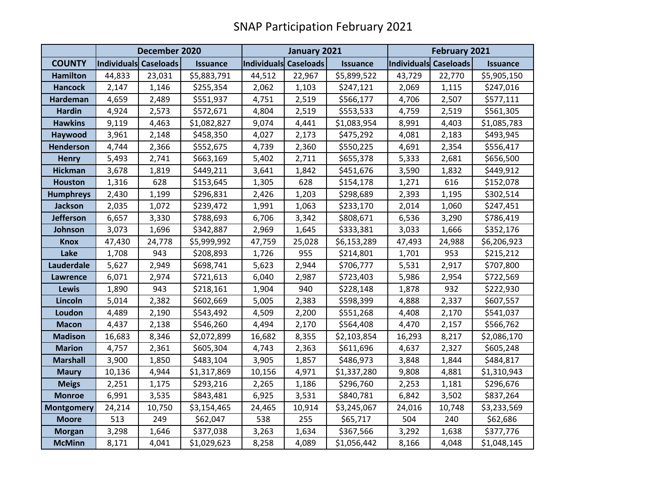|                   | December 2020         |        |                 | January 2021          |        |                 | <b>February 2021</b>  |        |                 |
|-------------------|-----------------------|--------|-----------------|-----------------------|--------|-----------------|-----------------------|--------|-----------------|
| <b>COUNTY</b>     | Individuals Caseloads |        | <b>Issuance</b> | Individuals Caseloads |        | <b>Issuance</b> | Individuals Caseloads |        | <b>Issuance</b> |
| <b>Hamilton</b>   | 44,833                | 23,031 | \$5,883,791     | 44,512                | 22,967 | \$5,899,522     | 43,729                | 22,770 | \$5,905,150     |
| <b>Hancock</b>    | 2,147                 | 1,146  | \$255,354       | 2,062                 | 1,103  | \$247,121       | 2,069                 | 1,115  | \$247,016       |
| Hardeman          | 4,659                 | 2,489  | \$551,937       | 4,751                 | 2,519  | \$566,177       | 4,706                 | 2,507  | \$577,111       |
| <b>Hardin</b>     | 4,924                 | 2,573  | \$572,671       | 4,804                 | 2,519  | \$553,533       | 4,759                 | 2,519  | \$561,305       |
| <b>Hawkins</b>    | 9,119                 | 4,463  | \$1,082,827     | 9,074                 | 4,441  | \$1,083,954     | 8,991                 | 4,403  | \$1,085,783     |
| Haywood           | 3,961                 | 2,148  | \$458,350       | 4,027                 | 2,173  | \$475,292       | 4,081                 | 2,183  | \$493,945       |
| <b>Henderson</b>  | 4,744                 | 2,366  | \$552,675       | 4,739                 | 2,360  | \$550,225       | 4,691                 | 2,354  | \$556,417       |
| <b>Henry</b>      | 5,493                 | 2,741  | \$663,169       | 5,402                 | 2,711  | \$655,378       | 5,333                 | 2,681  | \$656,500       |
| <b>Hickman</b>    | 3,678                 | 1,819  | \$449,211       | 3,641                 | 1,842  | \$451,676       | 3,590                 | 1,832  | \$449,912       |
| <b>Houston</b>    | 1,316                 | 628    | \$153,645       | 1,305                 | 628    | \$154,178       | 1,271                 | 616    | \$152,078       |
| <b>Humphreys</b>  | 2,430                 | 1,199  | \$296,831       | 2,426                 | 1,203  | \$298,689       | 2,393                 | 1,195  | \$302,514       |
| <b>Jackson</b>    | 2,035                 | 1,072  | \$239,472       | 1,991                 | 1,063  | \$233,170       | 2,014                 | 1,060  | \$247,451       |
| <b>Jefferson</b>  | 6,657                 | 3,330  | \$788,693       | 6,706                 | 3,342  | \$808,671       | 6,536                 | 3,290  | \$786,419       |
| Johnson           | 3,073                 | 1,696  | \$342,887       | 2,969                 | 1,645  | \$333,381       | 3,033                 | 1,666  | \$352,176       |
| <b>Knox</b>       | 47,430                | 24,778 | \$5,999,992     | 47,759                | 25,028 | \$6,153,289     | 47,493                | 24,988 | \$6,206,923     |
| Lake              | 1,708                 | 943    | \$208,893       | 1,726                 | 955    | \$214,801       | 1,701                 | 953    | \$215,212       |
| Lauderdale        | 5,627                 | 2,949  | \$698,741       | 5,623                 | 2,944  | \$706,777       | 5,531                 | 2,917  | \$707,800       |
| <b>Lawrence</b>   | 6,071                 | 2,974  | \$721,613       | 6,040                 | 2,987  | \$723,403       | 5,986                 | 2,954  | \$722,569       |
| Lewis             | 1,890                 | 943    | \$218,161       | 1,904                 | 940    | \$228,148       | 1,878                 | 932    | \$222,930       |
| Lincoln           | 5,014                 | 2,382  | \$602,669       | 5,005                 | 2,383  | \$598,399       | 4,888                 | 2,337  | \$607,557       |
| Loudon            | 4,489                 | 2,190  | \$543,492       | 4,509                 | 2,200  | \$551,268       | 4,408                 | 2,170  | \$541,037       |
| <b>Macon</b>      | 4,437                 | 2,138  | \$546,260       | 4,494                 | 2,170  | \$564,408       | 4,470                 | 2,157  | \$566,762       |
| <b>Madison</b>    | 16,683                | 8,346  | \$2,072,899     | 16,682                | 8,355  | \$2,103,854     | 16,293                | 8,217  | \$2,086,170     |
| <b>Marion</b>     | 4,757                 | 2,361  | \$605,304       | 4,743                 | 2,363  | \$611,696       | 4,637                 | 2,327  | \$605,248       |
| <b>Marshall</b>   | 3,900                 | 1,850  | \$483,104       | 3,905                 | 1,857  | \$486,973       | 3,848                 | 1,844  | \$484,817       |
| <b>Maury</b>      | 10,136                | 4,944  | \$1,317,869     | 10,156                | 4,971  | \$1,337,280     | 9,808                 | 4,881  | \$1,310,943     |
| <b>Meigs</b>      | 2,251                 | 1,175  | \$293,216       | 2,265                 | 1,186  | \$296,760       | 2,253                 | 1,181  | \$296,676       |
| <b>Monroe</b>     | 6,991                 | 3,535  | \$843,481       | 6,925                 | 3,531  | \$840,781       | 6,842                 | 3,502  | \$837,264       |
| <b>Montgomery</b> | 24,214                | 10,750 | \$3,154,465     | 24,465                | 10,914 | \$3,245,067     | 24,016                | 10,748 | \$3,233,569     |
| <b>Moore</b>      | 513                   | 249    | \$62,047        | 538                   | 255    | \$65,717        | 504                   | 240    | \$62,686        |
| <b>Morgan</b>     | 3,298                 | 1,646  | \$377,038       | 3,263                 | 1,634  | \$367,566       | 3,292                 | 1,638  | \$377,776       |
| <b>McMinn</b>     | 8,171                 | 4,041  | \$1,029,623     | 8,258                 | 4,089  | \$1,056,442     | 8,166                 | 4,048  | \$1,048,145     |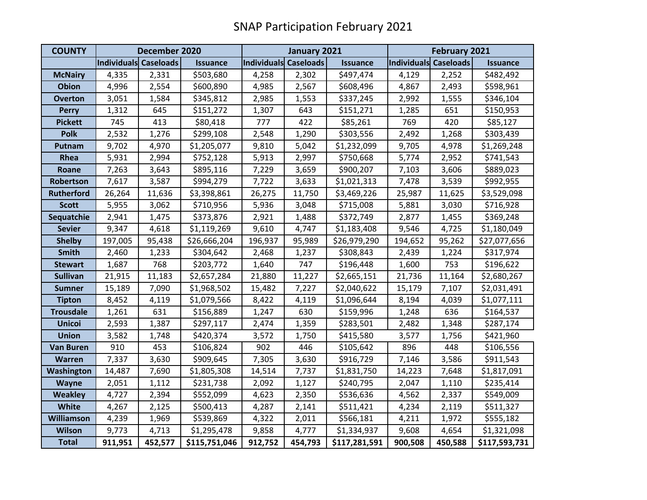| <b>COUNTY</b>     | December 2020                |         |                 | January 2021          |         |                 | February 2021         |         |                 |
|-------------------|------------------------------|---------|-----------------|-----------------------|---------|-----------------|-----------------------|---------|-----------------|
|                   | <b>Individuals Caseloads</b> |         | <b>Issuance</b> | Individuals Caseloads |         | <b>Issuance</b> | Individuals Caseloads |         | <b>Issuance</b> |
| <b>McNairy</b>    | 4,335                        | 2,331   | \$503,680       | 4,258                 | 2,302   | \$497,474       | 4,129                 | 2,252   | \$482,492       |
| <b>Obion</b>      | 4,996                        | 2,554   | \$600,890       | 4,985                 | 2,567   | \$608,496       | 4,867                 | 2,493   | \$598,961       |
| <b>Overton</b>    | 3,051                        | 1,584   | \$345,812       | 2,985                 | 1,553   | \$337,245       | 2,992                 | 1,555   | \$346,104       |
| <b>Perry</b>      | 1,312                        | 645     | \$151,272       | 1,307                 | 643     | \$151,271       | 1,285                 | 651     | \$150,953       |
| <b>Pickett</b>    | 745                          | 413     | \$80,418        | 777                   | 422     | \$85,261        | 769                   | 420     | \$85,127        |
| <b>Polk</b>       | 2,532                        | 1,276   | \$299,108       | 2,548                 | 1,290   | \$303,556       | 2,492                 | 1,268   | \$303,439       |
| Putnam            | 9,702                        | 4,970   | \$1,205,077     | 9,810                 | 5,042   | \$1,232,099     | 9,705                 | 4,978   | \$1,269,248     |
| Rhea              | 5,931                        | 2,994   | \$752,128       | 5,913                 | 2,997   | \$750,668       | 5,774                 | 2,952   | \$741,543       |
| Roane             | 7,263                        | 3,643   | \$895,116       | 7,229                 | 3,659   | \$900,207       | 7,103                 | 3,606   | \$889,023       |
| Robertson         | 7,617                        | 3,587   | \$994,279       | 7,722                 | 3,633   | \$1,021,313     | 7,478                 | 3,539   | \$992,955       |
| <b>Rutherford</b> | 26,264                       | 11,636  | \$3,398,861     | 26,275                | 11,750  | \$3,469,226     | 25,987                | 11,625  | \$3,529,098     |
| <b>Scott</b>      | 5,955                        | 3,062   | \$710,956       | 5,936                 | 3,048   | \$715,008       | 5,881                 | 3,030   | \$716,928       |
| Sequatchie        | 2,941                        | 1,475   | \$373,876       | 2,921                 | 1,488   | \$372,749       | 2,877                 | 1,455   | \$369,248       |
| <b>Sevier</b>     | 9,347                        | 4,618   | \$1,119,269     | 9,610                 | 4,747   | \$1,183,408     | 9,546                 | 4,725   | \$1,180,049     |
| <b>Shelby</b>     | 197,005                      | 95,438  | \$26,666,204    | 196,937               | 95,989  | \$26,979,290    | 194,652               | 95,262  | \$27,077,656    |
| Smith             | 2,460                        | 1,233   | \$304,642       | 2,468                 | 1,237   | \$308,843       | 2,439                 | 1,224   | \$317,974       |
| <b>Stewart</b>    | 1,687                        | 768     | \$203,772       | 1,640                 | 747     | \$196,448       | 1,600                 | 753     | \$196,622       |
| <b>Sullivan</b>   | 21,915                       | 11,183  | \$2,657,284     | 21,880                | 11,227  | \$2,665,151     | 21,736                | 11,164  | \$2,680,267     |
| <b>Sumner</b>     | 15,189                       | 7,090   | \$1,968,502     | 15,482                | 7,227   | \$2,040,622     | 15,179                | 7,107   | \$2,031,491     |
| <b>Tipton</b>     | 8,452                        | 4,119   | \$1,079,566     | 8,422                 | 4,119   | \$1,096,644     | 8,194                 | 4,039   | \$1,077,111     |
| <b>Trousdale</b>  | 1,261                        | 631     | \$156,889       | 1,247                 | 630     | \$159,996       | 1,248                 | 636     | \$164,537       |
| <b>Unicoi</b>     | 2,593                        | 1,387   | \$297,117       | 2,474                 | 1,359   | \$283,501       | 2,482                 | 1,348   | \$287,174       |
| <b>Union</b>      | 3,582                        | 1,748   | \$420,374       | 3,572                 | 1,750   | \$415,580       | 3,577                 | 1,756   | \$421,960       |
| <b>Van Buren</b>  | 910                          | 453     | \$106,824       | 902                   | 446     | \$105,642       | 896                   | 448     | \$106,556       |
| Warren            | 7,337                        | 3,630   | \$909,645       | 7,305                 | 3,630   | \$916,729       | 7,146                 | 3,586   | \$911,543       |
| Washington        | 14,487                       | 7,690   | \$1,805,308     | 14,514                | 7,737   | \$1,831,750     | 14,223                | 7,648   | \$1,817,091     |
| <b>Wayne</b>      | 2,051                        | 1,112   | \$231,738       | 2,092                 | 1,127   | \$240,795       | 2,047                 | 1,110   | \$235,414       |
| <b>Weakley</b>    | 4,727                        | 2,394   | \$552,099       | 4,623                 | 2,350   | \$536,636       | 4,562                 | 2,337   | \$549,009       |
| White             | 4,267                        | 2,125   | \$500,413       | 4,287                 | 2,141   | \$511,421       | 4,234                 | 2,119   | \$511,327       |
| <b>Williamson</b> | 4,239                        | 1,969   | \$539,869       | 4,322                 | 2,011   | \$566,181       | 4,211                 | 1,972   | \$555,182       |
| <b>Wilson</b>     | 9,773                        | 4,713   | \$1,295,478     | 9,858                 | 4,777   | \$1,334,937     | 9,608                 | 4,654   | \$1,321,098     |
| <b>Total</b>      | 911,951                      | 452,577 | \$115,751,046   | 912,752               | 454,793 | \$117,281,591   | 900,508               | 450,588 | \$117,593,731   |